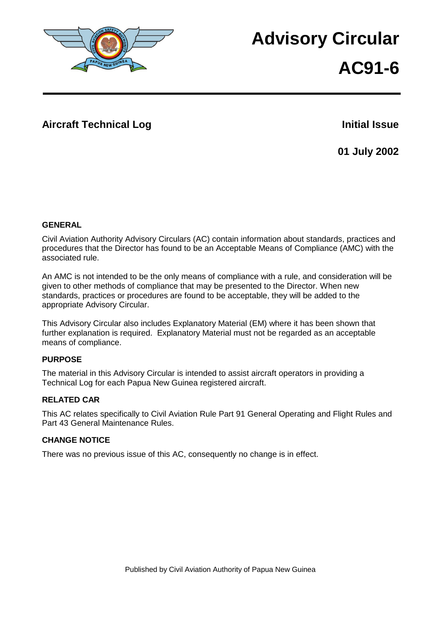

# **Advisory Circular**

# **AC91-6**

## **Aircraft Technical Log <b>Initial Issue Initial Issue**

**01 July 2002**

#### **GENERAL**

Civil Aviation Authority Advisory Circulars (AC) contain information about standards, practices and procedures that the Director has found to be an Acceptable Means of Compliance (AMC) with the associated rule.

An AMC is not intended to be the only means of compliance with a rule, and consideration will be given to other methods of compliance that may be presented to the Director. When new standards, practices or procedures are found to be acceptable, they will be added to the appropriate Advisory Circular.

This Advisory Circular also includes Explanatory Material (EM) where it has been shown that further explanation is required. Explanatory Material must not be regarded as an acceptable means of compliance.

## **PURPOSE**

The material in this Advisory Circular is intended to assist aircraft operators in providing a Technical Log for each Papua New Guinea registered aircraft.

## **RELATED CAR**

This AC relates specifically to Civil Aviation Rule Part 91 General Operating and Flight Rules and Part 43 General Maintenance Rules.

#### **CHANGE NOTICE**

There was no previous issue of this AC, consequently no change is in effect.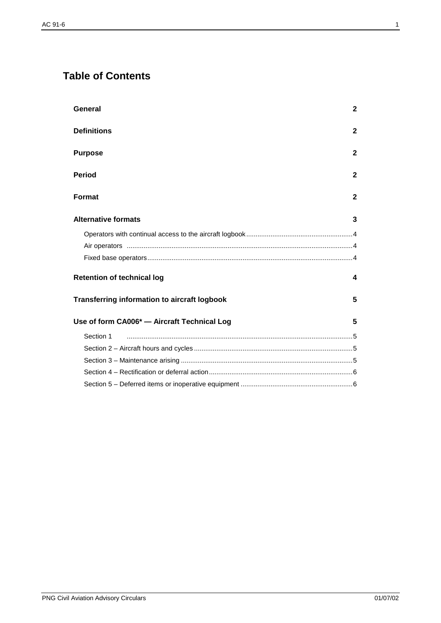# **Table of Contents**

| General                                             | $\mathbf{2}$ |
|-----------------------------------------------------|--------------|
| <b>Definitions</b>                                  | $\mathbf{2}$ |
| <b>Purpose</b>                                      | $\mathbf{2}$ |
| <b>Period</b>                                       | $\mathbf{2}$ |
| <b>Format</b>                                       | $\mathbf{2}$ |
| <b>Alternative formats</b>                          | 3            |
|                                                     |              |
|                                                     |              |
|                                                     |              |
| <b>Retention of technical log</b>                   | 4            |
| <b>Transferring information to aircraft logbook</b> | 5            |
| Use of form CA006* - Aircraft Technical Log         | 5            |
| Section 1                                           |              |
|                                                     |              |
|                                                     |              |
|                                                     |              |
|                                                     |              |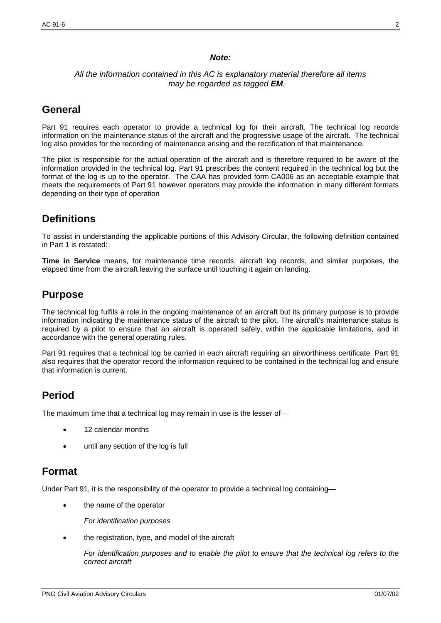#### *Note:*

#### *All the information contained in this AC is explanatory material therefore all items may be regarded as tagged EM.*

## **General**

Part 91 requires each operator to provide a technical log for their aircraft. The technical log records information on the maintenance status of the aircraft and the progressive usage of the aircraft. The technical log also provides for the recording of maintenance arising and the rectification of that maintenance.

The pilot is responsible for the actual operation of the aircraft and is therefore required to be aware of the information provided in the technical log. Part 91 prescribes the content required in the technical log but the format of the log is up to the operator. The CAA has provided form CA006 as an acceptable example that meets the requirements of Part 91 however operators may provide the information in many different formats depending on their type of operation

# **Definitions**

To assist in understanding the applicable portions of this Advisory Circular, the following definition contained in Part 1 is restated:

**Time in Service** means, for maintenance time records, aircraft log records, and similar purposes, the elapsed time from the aircraft leaving the surface until touching it again on landing.

## **Purpose**

The technical log fulfils a role in the ongoing maintenance of an aircraft but its primary purpose is to provide information indicating the maintenance status of the aircraft to the pilot. The aircraft's maintenance status is required by a pilot to ensure that an aircraft is operated safely, within the applicable limitations, and in accordance with the general operating rules.

Part 91 requires that a technical log be carried in each aircraft requiring an airworthiness certificate. Part 91 also requires that the operator record the information required to be contained in the technical log and ensure that information is current.

## **Period**

The maximum time that a technical log may remain in use is the lesser of

- 12 calendar months
- until any section of the log is full

## **Format**

Under Part 91, it is the responsibility of the operator to provide a technical log containing—

- the name of the operator
	- *For identification purposes*
- the registration, type, and model of the aircraft

*For identification purposes and to enable the pilot to ensure that the technical log refers to the correct aircraft*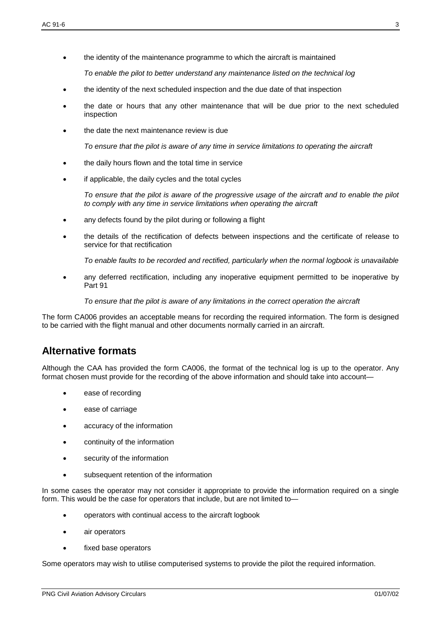• the identity of the maintenance programme to which the aircraft is maintained

*To enable the pilot to better understand any maintenance listed on the technical log*

- the identity of the next scheduled inspection and the due date of that inspection
- the date or hours that any other maintenance that will be due prior to the next scheduled inspection
- the date the next maintenance review is due

*To ensure that the pilot is aware of any time in service limitations to operating the aircraft*

- the daily hours flown and the total time in service
- if applicable, the daily cycles and the total cycles

*To ensure that the pilot is aware of the progressive usage of the aircraft and to enable the pilot to comply with any time in service limitations when operating the aircraft*

- any defects found by the pilot during or following a flight
- the details of the rectification of defects between inspections and the certificate of release to service for that rectification

*To enable faults to be recorded and rectified, particularly when the normal logbook is unavailable*

• any deferred rectification, including any inoperative equipment permitted to be inoperative by Part 91

*To ensure that the pilot is aware of any limitations in the correct operation the aircraft*

The form CA006 provides an acceptable means for recording the required information. The form is designed to be carried with the flight manual and other documents normally carried in an aircraft.

## **Alternative formats**

Although the CAA has provided the form CA006, the format of the technical log is up to the operator. Any format chosen must provide for the recording of the above information and should take into account—

- ease of recording
- ease of carriage
- accuracy of the information
- continuity of the information
- security of the information
- subsequent retention of the information

In some cases the operator may not consider it appropriate to provide the information required on a single form. This would be the case for operators that include, but are not limited to—

- operators with continual access to the aircraft logbook
- air operators
- fixed base operators

Some operators may wish to utilise computerised systems to provide the pilot the required information.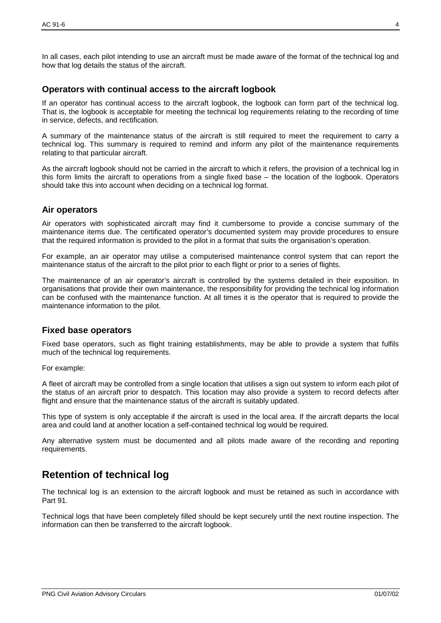In all cases, each pilot intending to use an aircraft must be made aware of the format of the technical log and how that log details the status of the aircraft.

#### **Operators with continual access to the aircraft logbook**

If an operator has continual access to the aircraft logbook, the logbook can form part of the technical log. That is, the logbook is acceptable for meeting the technical log requirements relating to the recording of time in service, defects, and rectification.

A summary of the maintenance status of the aircraft is still required to meet the requirement to carry a technical log. This summary is required to remind and inform any pilot of the maintenance requirements relating to that particular aircraft.

As the aircraft logbook should not be carried in the aircraft to which it refers, the provision of a technical log in this form limits the aircraft to operations from a single fixed base – the location of the logbook. Operators should take this into account when deciding on a technical log format.

#### **Air operators**

Air operators with sophisticated aircraft may find it cumbersome to provide a concise summary of the maintenance items due. The certificated operator's documented system may provide procedures to ensure that the required information is provided to the pilot in a format that suits the organisation's operation.

For example, an air operator may utilise a computerised maintenance control system that can report the maintenance status of the aircraft to the pilot prior to each flight or prior to a series of flights.

The maintenance of an air operator's aircraft is controlled by the systems detailed in their exposition. In organisations that provide their own maintenance, the responsibility for providing the technical log information can be confused with the maintenance function. At all times it is the operator that is required to provide the maintenance information to the pilot.

#### **Fixed base operators**

Fixed base operators, such as flight training establishments, may be able to provide a system that fulfils much of the technical log requirements.

For example:

A fleet of aircraft may be controlled from a single location that utilises a sign out system to inform each pilot of the status of an aircraft prior to despatch. This location may also provide a system to record defects after flight and ensure that the maintenance status of the aircraft is suitably updated.

This type of system is only acceptable if the aircraft is used in the local area. If the aircraft departs the local area and could land at another location a self-contained technical log would be required.

Any alternative system must be documented and all pilots made aware of the recording and reporting requirements.

## **Retention of technical log**

The technical log is an extension to the aircraft logbook and must be retained as such in accordance with Part 91.

Technical logs that have been completely filled should be kept securely until the next routine inspection. The information can then be transferred to the aircraft logbook.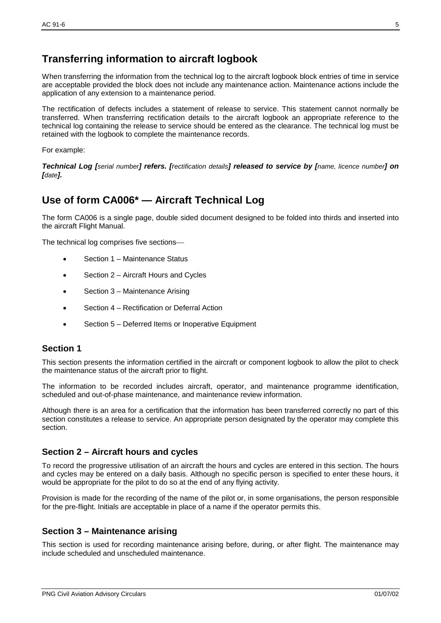# **Transferring information to aircraft logbook**

When transferring the information from the technical log to the aircraft logbook block entries of time in service are acceptable provided the block does not include any maintenance action. Maintenance actions include the application of any extension to a maintenance period.

The rectification of defects includes a statement of release to service. This statement cannot normally be transferred. When transferring rectification details to the aircraft logbook an appropriate reference to the technical log containing the release to service should be entered as the clearance. The technical log must be retained with the logbook to complete the maintenance records.

For example:

*Technical Log [serial number] refers. [rectification details] released to service by [name, licence number] on [date].* 

# **Use of form CA006\* — Aircraft Technical Log**

The form CA006 is a single page, double sided document designed to be folded into thirds and inserted into the aircraft Flight Manual.

The technical log comprises five sections

- Section 1 Maintenance Status
- Section 2 Aircraft Hours and Cycles
- Section 3 Maintenance Arising
- Section 4 Rectification or Deferral Action
- Section 5 Deferred Items or Inoperative Equipment

#### **Section 1**

This section presents the information certified in the aircraft or component logbook to allow the pilot to check the maintenance status of the aircraft prior to flight.

The information to be recorded includes aircraft, operator, and maintenance programme identification, scheduled and out-of-phase maintenance, and maintenance review information.

Although there is an area for a certification that the information has been transferred correctly no part of this section constitutes a release to service. An appropriate person designated by the operator may complete this section.

#### **Section 2 – Aircraft hours and cycles**

To record the progressive utilisation of an aircraft the hours and cycles are entered in this section. The hours and cycles may be entered on a daily basis. Although no specific person is specified to enter these hours, it would be appropriate for the pilot to do so at the end of any flying activity.

Provision is made for the recording of the name of the pilot or, in some organisations, the person responsible for the pre-flight. Initials are acceptable in place of a name if the operator permits this.

## **Section 3 – Maintenance arising**

This section is used for recording maintenance arising before, during, or after flight. The maintenance may include scheduled and unscheduled maintenance.